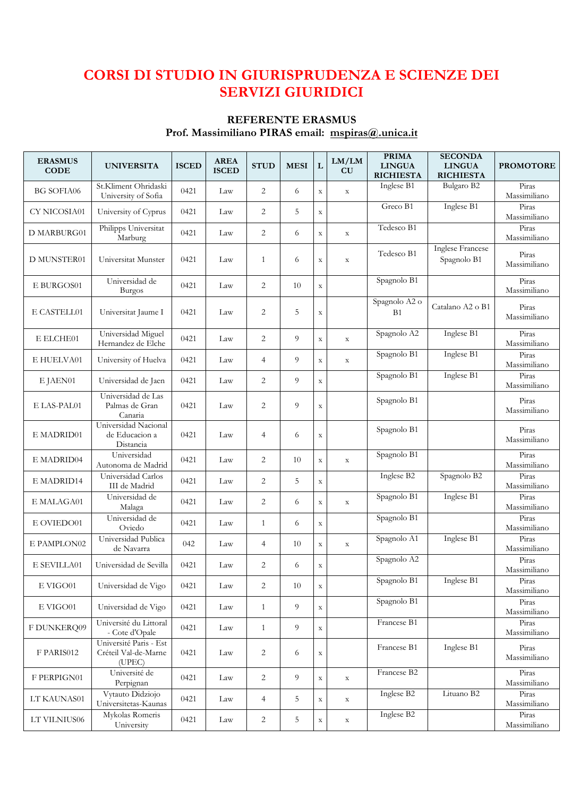## **CORSI DI STUDIO IN GIURISPRUDENZA E SCIENZE DEI SERVIZI GIURIDICI**

# **REFERENTE ERASMUS**

**Prof. Massimiliano PIRAS email: mspiras@.unica.it** 

| <b>ERASMUS</b><br><b>CODE</b> | <b>UNIVERSITA</b>                                        | <b>ISCED</b> | <b>AREA</b><br><b>ISCED</b> | <b>STUD</b>    | <b>MESI</b>    | L           | LM/LM<br>CU | <b>PRIMA</b><br><b>LINGUA</b> | <b>SECONDA</b><br><b>LINGUA</b> | <b>PROMOTORE</b>      |
|-------------------------------|----------------------------------------------------------|--------------|-----------------------------|----------------|----------------|-------------|-------------|-------------------------------|---------------------------------|-----------------------|
|                               |                                                          |              |                             |                |                |             |             | <b>RICHIESTA</b>              | <b>RICHIESTA</b>                |                       |
| <b>BG SOFIA06</b>             | St.Kliment Ohridaski<br>University of Sofia              | 0421         | Law                         | 2              | 6              | $\mathbf X$ | $\mathbf X$ | Inglese B1                    | Bulgaro B2                      | Piras<br>Massimiliano |
| CY NICOSIA01                  | University of Cyprus                                     | 0421         | Law                         | 2              | 5              | $\mathbf X$ |             | Greco B1                      | Inglese B1                      | Piras<br>Massimiliano |
| D MARBURG01                   | Philipps Universitat<br>Marburg                          | 0421         | Law                         | $\overline{2}$ | 6              | $\mathbf X$ | $\mathbf X$ | Tedesco B1                    |                                 | Piras<br>Massimiliano |
| D MUNSTER01                   | Universitat Munster                                      | 0421         | Law                         | $\mathbf{1}$   | 6              | $\mathbf X$ | $\mathbf X$ | Tedesco B1                    | Inglese Francese<br>Spagnolo B1 | Piras<br>Massimiliano |
| E BURGOS01                    | Universidad de<br><b>Burgos</b>                          | 0421         | Law                         | $\overline{2}$ | 10             | $\mathbf X$ |             | Spagnolo B1                   |                                 | Piras<br>Massimiliano |
| E CASTELL01                   | Universitat Jaume I                                      | 0421         | Law                         | $\overline{c}$ | 5              | $\mathbf X$ |             | Spagnolo A2 o<br>B1           | Catalano A2 o B1                | Piras<br>Massimiliano |
| E ELCHE01                     | Universidad Miguel<br>Hernandez de Elche                 | 0421         | Law                         | $\overline{c}$ | 9              | $\mathbf X$ | $\mathbf X$ | Spagnolo A2                   | Inglese B1                      | Piras<br>Massimiliano |
| E HUELVA01                    | University of Huelva                                     | 0421         | Law                         | $\overline{4}$ | 9              | $\mathbf X$ | $\mathbf X$ | Spagnolo B1                   | Inglese B1                      | Piras<br>Massimiliano |
| E JAEN01                      | Universidad de Jaen                                      | 0421         | Law                         | $\overline{c}$ | 9              | $\mathbf X$ |             | Spagnolo B1                   | Inglese B1                      | Piras<br>Massimiliano |
| E LAS-PAL01                   | Universidad de Las<br>Palmas de Gran<br>Canaria          | 0421         | Law                         | 2              | 9              | $\mathbf X$ |             | Spagnolo B1                   |                                 | Piras<br>Massimiliano |
| E MADRID01                    | Universidad Nacional<br>de Educacion a<br>Distancia      | 0421         | Law                         | $\overline{4}$ | 6              | $\mathbf X$ |             | Spagnolo B1                   |                                 | Piras<br>Massimiliano |
| E MADRID04                    | Universidad<br>Autonoma de Madrid                        | 0421         | Law                         | $\overline{c}$ | 10             | $\mathbf X$ | $\mathbf X$ | Spagnolo B1                   |                                 | Piras<br>Massimiliano |
| E MADRID14                    | Universidad Carlos<br>III de Madrid                      | 0421         | Law                         | $\overline{2}$ | 5              | $\mathbf X$ |             | Inglese B2                    | Spagnolo B2                     | Piras<br>Massimiliano |
| E MALAGA01                    | Universidad de<br>Malaga                                 | 0421         | Law                         | $\overline{2}$ | 6              | $\mathbf X$ | $\mathbf X$ | Spagnolo B1                   | Inglese B1                      | Piras<br>Massimiliano |
| E OVIEDO01                    | Universidad de<br>Oviedo                                 | 0421         | Law                         | $\mathbf{1}$   | 6              | $\mathbf X$ |             | Spagnolo B1                   |                                 | Piras<br>Massimiliano |
| E PAMPLON02                   | Universidad Publica<br>de Navarra                        | 042          | Law                         | 4              | 10             | $\mathbf X$ | $\mathbf X$ | Spagnolo A1                   | Inglese B1                      | Piras<br>Massimiliano |
| E SEVILLA01                   | Universidad de Sevilla                                   | 0421         | Law                         | 2              | 6              | $\mathbf X$ |             | Spagnolo A2                   |                                 | Piras<br>Massimiliano |
| $\rm E~VIGO01$                | Universidad de Vigo                                      | 0421         | Law                         | $\overline{2}$ | 10             | $\mathbf X$ |             | Spagnolo B1                   | Inglese B1                      | Piras<br>Massimiliano |
| E VIGO01                      | Universidad de Vigo                                      | 0421         | Law                         | $\mathbf{1}$   | 9              | $\mathbf X$ |             | Spagnolo B1                   |                                 | Piras<br>Massimiliano |
| F DUNKERQ09                   | Université du Littoral<br>- Cote d'Opale                 | 0421         | Law                         | $\mathbf{1}$   | 9              | $\mathbf X$ |             | Francese B1                   |                                 | Piras<br>Massimiliano |
| F PARIS012                    | Université Paris - Est<br>Créteil Val-de-Marne<br>(UPEC) | 0421         | Law                         | 2              | 6              | $\mathbf X$ |             | Francese B1                   | Inglese B1                      | Piras<br>Massimiliano |
| F PERPIGN01                   | Université de<br>Perpignan                               | 0421         | Law                         | $\overline{2}$ | $\overline{9}$ | $\mathbf X$ | $\mathbf X$ | Francese B2                   |                                 | Piras<br>Massimiliano |
| LT KAUNAS01                   | Vytauto Didziojo<br>Universitetas-Kaunas                 | 0421         | Law                         | 4              | 5              | $\mathbf X$ | $\mathbf X$ | Inglese B2                    | Lituano B2                      | Piras<br>Massimiliano |
| LT VILNIUS06                  | Mykolas Romeris<br>University                            | 0421         | Law                         | $\overline{c}$ | 5              | $\mathbf X$ | $\mathbf X$ | Inglese B2                    |                                 | Piras<br>Massimiliano |